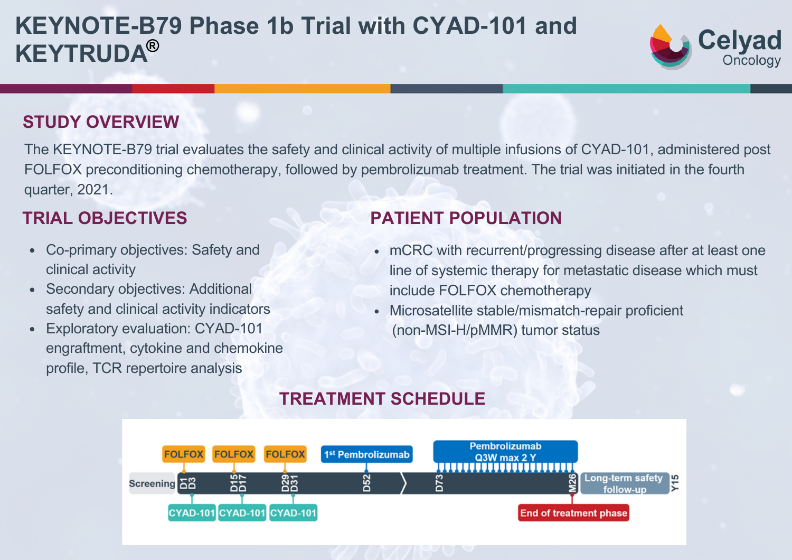# **KEYNOTE-B79 Phase 1b Trial with CYAD‑101 and KEYTRUDA®**



#### **STUDY OVERVIEW**

The KEYNOTE-B79 trial evaluates the safety and clinical activity of multiple infusions of CYAD-101, administered post FOLFOX preconditioning chemotherapy, followed by pembrolizumab treatment. The trial was initiated in the fourth quarter, 2021.

- Co-primary objectives: Safety and clinical activity
- Secondary objectives: Additional safety and clinical activity indicators
- Exploratory evaluation: CYAD-101 engraftment, cytokine and chemokine profile, TCR repertoire analysis

### **TRIAL OBJECTIVES PATIENT POPULATION**

- mCRC with recurrent/progressing disease after at least one line of systemic therapy for metastatic disease which must include FOLFOX chemotherapy
- Microsatellite stable/mismatch-repair proficient (non-MSI-H/pMMR) tumor status

#### **TREATMENT SCHEDULE**